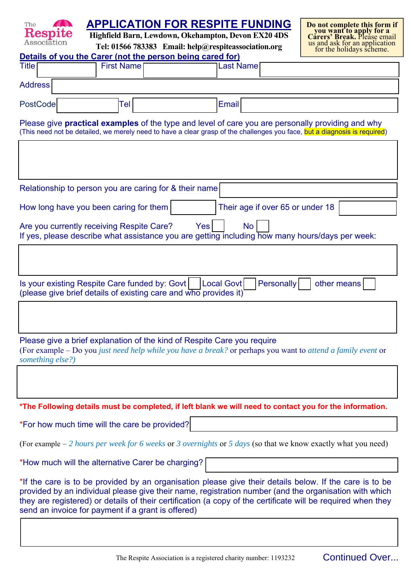| The                                                                                                                                                                                                                                                                                                                                                                                     |                                                           | <b>APPLICATION FOR RESPITE FUNDING</b>                                                                         | Do not complete this form if                              |  |
|-----------------------------------------------------------------------------------------------------------------------------------------------------------------------------------------------------------------------------------------------------------------------------------------------------------------------------------------------------------------------------------------|-----------------------------------------------------------|----------------------------------------------------------------------------------------------------------------|-----------------------------------------------------------|--|
| ${\bf Respite}$<br>Association                                                                                                                                                                                                                                                                                                                                                          |                                                           | Highfield Barn, Lewdown, Okehampton, Devon EX20 4DS                                                            | you want to apply for a<br>Carers' Break, Please email    |  |
|                                                                                                                                                                                                                                                                                                                                                                                         | Details of you the Carer (not the person being cared for) | Tel: 01566 783383 Email: help@respiteassociation.org                                                           | us and ask for an application<br>for the holidays scheme. |  |
| <b>Title</b>                                                                                                                                                                                                                                                                                                                                                                            | <b>First Name</b>                                         | <b>Last Name</b>                                                                                               |                                                           |  |
|                                                                                                                                                                                                                                                                                                                                                                                         |                                                           |                                                                                                                |                                                           |  |
| <b>Address</b>                                                                                                                                                                                                                                                                                                                                                                          |                                                           |                                                                                                                |                                                           |  |
| PostCode                                                                                                                                                                                                                                                                                                                                                                                | Tel                                                       | Email                                                                                                          |                                                           |  |
| Please give <b>practical examples</b> of the type and level of care you are personally providing and why<br>(This need not be detailed, we merely need to have a clear grasp of the challenges you face, but a diagnosis is required)                                                                                                                                                   |                                                           |                                                                                                                |                                                           |  |
|                                                                                                                                                                                                                                                                                                                                                                                         |                                                           |                                                                                                                |                                                           |  |
|                                                                                                                                                                                                                                                                                                                                                                                         |                                                           |                                                                                                                |                                                           |  |
|                                                                                                                                                                                                                                                                                                                                                                                         |                                                           |                                                                                                                |                                                           |  |
|                                                                                                                                                                                                                                                                                                                                                                                         | Relationship to person you are caring for & their name    |                                                                                                                |                                                           |  |
|                                                                                                                                                                                                                                                                                                                                                                                         | How long have you been caring for them                    | Their age if over 65 or under 18                                                                               |                                                           |  |
|                                                                                                                                                                                                                                                                                                                                                                                         | Are you currently receiving Respite Care?                 | Yes<br><b>No</b>                                                                                               |                                                           |  |
|                                                                                                                                                                                                                                                                                                                                                                                         |                                                           | If yes, please describe what assistance you are getting including how many hours/days per week:                |                                                           |  |
|                                                                                                                                                                                                                                                                                                                                                                                         |                                                           |                                                                                                                |                                                           |  |
|                                                                                                                                                                                                                                                                                                                                                                                         |                                                           |                                                                                                                |                                                           |  |
|                                                                                                                                                                                                                                                                                                                                                                                         | Is your existing Respite Care funded by: Govt             | <b>Local Govt</b><br><b>Personally</b>                                                                         | other means                                               |  |
| (please give brief details of existing care and who provides it)                                                                                                                                                                                                                                                                                                                        |                                                           |                                                                                                                |                                                           |  |
|                                                                                                                                                                                                                                                                                                                                                                                         |                                                           |                                                                                                                |                                                           |  |
|                                                                                                                                                                                                                                                                                                                                                                                         |                                                           |                                                                                                                |                                                           |  |
|                                                                                                                                                                                                                                                                                                                                                                                         |                                                           |                                                                                                                |                                                           |  |
| Please give a brief explanation of the kind of Respite Care you require<br>(For example – Do you just need help while you have a break? or perhaps you want to attend a family event or                                                                                                                                                                                                 |                                                           |                                                                                                                |                                                           |  |
| something else?)                                                                                                                                                                                                                                                                                                                                                                        |                                                           |                                                                                                                |                                                           |  |
|                                                                                                                                                                                                                                                                                                                                                                                         |                                                           |                                                                                                                |                                                           |  |
|                                                                                                                                                                                                                                                                                                                                                                                         |                                                           |                                                                                                                |                                                           |  |
|                                                                                                                                                                                                                                                                                                                                                                                         |                                                           | *The Following details must be completed, if left blank we will need to contact you for the information.       |                                                           |  |
|                                                                                                                                                                                                                                                                                                                                                                                         | *For how much time will the care be provided?             |                                                                                                                |                                                           |  |
|                                                                                                                                                                                                                                                                                                                                                                                         |                                                           | (For example $-2$ hours per week for 6 weeks or 3 overnights or 5 days (so that we know exactly what you need) |                                                           |  |
|                                                                                                                                                                                                                                                                                                                                                                                         | *How much will the alternative Carer be charging?         |                                                                                                                |                                                           |  |
| *If the care is to be provided by an organisation please give their details below. If the care is to be<br>provided by an individual please give their name, registration number (and the organisation with which<br>they are registered) or details of their certification (a copy of the certificate will be required when they<br>send an invoice for payment if a grant is offered) |                                                           |                                                                                                                |                                                           |  |
|                                                                                                                                                                                                                                                                                                                                                                                         |                                                           |                                                                                                                |                                                           |  |